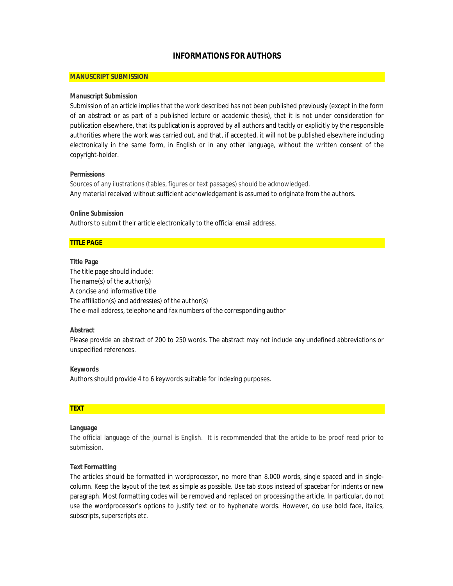# **INFORMATIONS FOR AUTHORS**

## **MANUSCRIPT SUBMISSION**

### **Manuscript Submission**

Submission of an article implies that the work described has not been published previously (except in the form of an abstract or as part of a published lecture or academic thesis), that it is not under consideration for publication elsewhere, that its publication is approved by all authors and tacitly or explicitly by the responsible authorities where the work was carried out, and that, if accepted, it will not be published elsewhere including electronically in the same form, in English or in any other language, without the written consent of the copyright-holder.

### **Permissions**

Sources of any ilustrations (tables, figures or text passages) should be acknowledged. Any material received without sufficient acknowledgement is assumed to originate from the authors.

## **Online Submission**

Authors to submit their article electronically to the official email address.

# **TITLE PAGE**

**Title Page**  The title page should include: The name(s) of the author(s) A concise and informative title The affiliation(s) and address(es) of the author(s) The e-mail address, telephone and fax numbers of the corresponding author

### **Abstract**

Please provide an abstract of 200 to 250 words. The abstract may not include any undefined abbreviations or unspecified references.

**Keywords**  Authors should provide 4 to 6 keywords suitable for indexing purposes.

# **TEXT**

### **Language**

The official language of the journal is English. It is recommended that the article to be proof read prior to submission.

### **Text Formatting**

The articles should be formatted in wordprocessor, no more than 8.000 words, single spaced and in singlecolumn. Keep the layout of the text as simple as possible. Use tab stops instead of spacebar for indents or new paragraph. Most formatting codes will be removed and replaced on processing the article. In particular, do not use the wordprocessor's options to justify text or to hyphenate words. However, do use bold face, italics, subscripts, superscripts etc.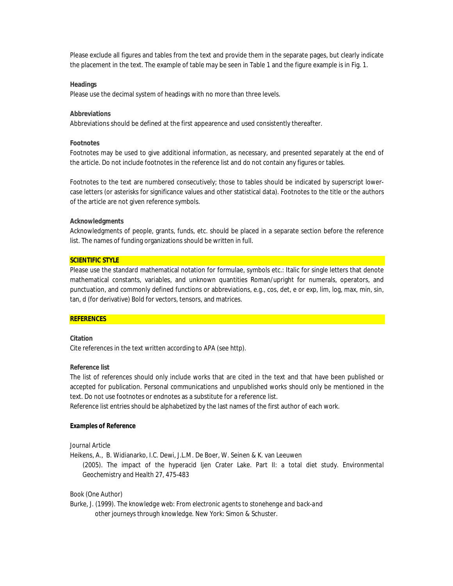Please exclude all figures and tables from the text and provide them in the separate pages, but clearly indicate the placement in the text. The example of table may be seen in Table 1 and the figure example is in Fig. 1.

#### **Headings**

Please use the decimal system of headings with no more than three levels.

#### **Abbreviations**

Abbreviations should be defined at the first appearence and used consistently thereafter.

#### **Footnotes**

Footnotes may be used to give additional information, as necessary, and presented separately at the end of the article. Do not include footnotes in the reference list and do not contain any figures or tables.

Footnotes to the text are numbered consecutively; those to tables should be indicated by superscript lowercase letters (or asterisks for significance values and other statistical data). Footnotes to the title or the authors of the article are not given reference symbols.

#### **Acknowledgments**

Acknowledgments of people, grants, funds, etc. should be placed in a separate section before the reference list. The names of funding organizations should be written in full.

### **SCIENTIFIC STYLE**

Please use the standard mathematical notation for formulae, symbols etc.: Italic for single letters that denote mathematical constants, variables, and unknown quantities Roman/upright for numerals, operators, and punctuation, and commonly defined functions or abbreviations, e.g., cos, det, e or exp, lim, log, max, min, sin, tan, d (for derivative) Bold for vectors, tensors, and matrices.

#### **REFERENCES**

### **Citation**

Cite references in the text written according to APA (see http).

### **Reference list**

The list of references should only include works that are cited in the text and that have been published or accepted for publication. Personal communications and unpublished works should only be mentioned in the text. Do not use footnotes or endnotes as a substitute for a reference list.

Reference list entries should be alphabetized by the last names of the first author of each work.

#### **Examples of Reference**

### *Journal Article*

Heikens, A., B. Widianarko, I.C. Dewi, J.L.M. De Boer, W. Seinen & K. van Leeuwen (2005). The impact of the hyperacid Ijen Crater Lake. Part II: a total diet study. *Environmental Geochemistry and Health 27*, 475-483

### *Book (One Author)*

Burke, J. (1999). *The knowledge web: From electronic agents to stonehenge and back-and other journeys through knowledge.* New York: Simon & Schuster.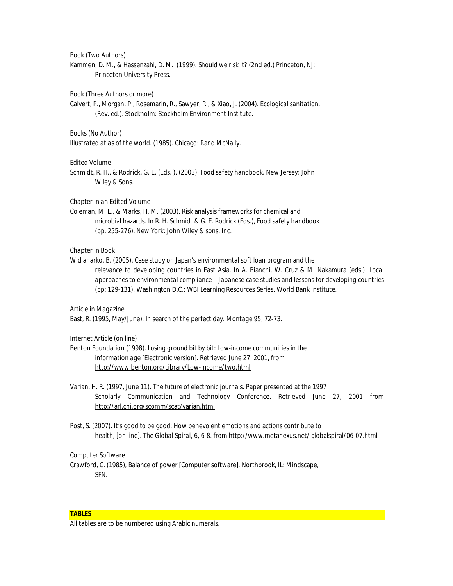#### *Book (Two Authors)*

Kammen, D. M., & Hassenzahl, D. M. (1999). *Should we risk it?* (2nd ed.) Princeton, NJ: Princeton University Press.

#### *Book (Three Authors or more)*

Calvert, P., Morgan, P., Rosemarin, R., Sawyer, R., & Xiao, J. (2004). *Ecological sanitation.* (Rev. ed.)*.* Stockholm: Stockholm Environment Institute.

#### *Books (No Author)*

*Illustrated atlas of the world.* (1985). Chicago: Rand McNally.

### *Edited Volume*

Schmidt, R. H., & Rodrick, G. E. (Eds. ). (2003). *Food safety handbook.* New Jersey: John Wiley & Sons.

#### *Chapter in an Edited Volume*

Coleman, M. E., & Marks, H. M. (2003). Risk analysis frameworks for chemical and microbial hazards. In R. H. Schmidt & G. E. Rodrick (Eds.), *Food safety handbook* (pp. 255-276). New York: John Wiley & sons, Inc.

### *Chapter in Book*

Widianarko, B. (2005). Case study on Japan's environmental soft loan program and the relevance to developing countries in East Asia. In A. Bianchi, W. Cruz & M. Nakamura (eds.): *Local approaches to environmental compliance – Japanese case studies and lessons for developing countries (pp: 129-131)*. Washington D.C.: WBI Learning Resources Series. World Bank Institute.

#### *Article in Magazine*

Bast, R. (1995, May/June). In search of the perfect day. *Montage 95,* 72-73.

### *Internet Article (on line)*

- Benton Foundation (1998). *Losing ground bit by bit: Low-income communities in the information age* [Electronic version]. Retrieved June 27, 2001, from <http://www.benton.org/Library/Low-Income/two.html>
- Varian, H. R. (1997, June 11). *The future of electronic journals.* Paper presented at the 1997 Scholarly Communication and Technology Conference. Retrieved June 27, 2001 from <http://arl.cni.org/scomm/scat/varian.html>
- Post, S. (2007). It's good to be good: How benevolent emotions and actions contribute to health, [on line]. *The Global Spiral, 6,* 6-8. from<http://www.metanexus.net/> globalspiral/06-07.html

#### *Computer Software*

Crawford, C. (1985), Balance of power [Computer software]. Northbrook, IL: Mindscape, SFN.

#### **TABLES**

All tables are to be numbered using Arabic numerals.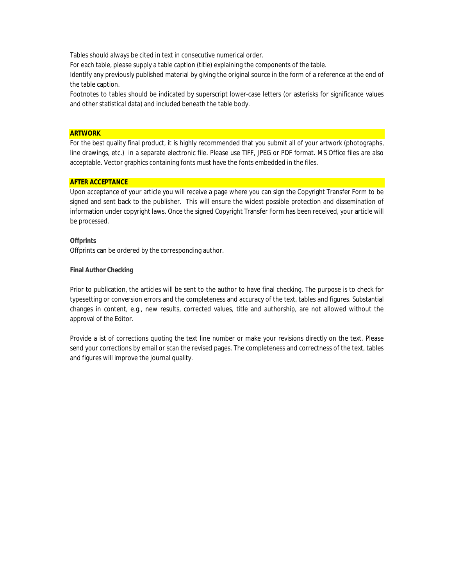Tables should always be cited in text in consecutive numerical order.

For each table, please supply a table caption (title) explaining the components of the table.

Identify any previously published material by giving the original source in the form of a reference at the end of the table caption.

Footnotes to tables should be indicated by superscript lower-case letters (or asterisks for significance values and other statistical data) and included beneath the table body.

### **ARTWORK**

For the best quality final product, it is highly recommended that you submit all of your artwork (photographs, line drawings, etc.) in a separate electronic file. Please use TIFF, JPEG or PDF format. MS Office files are also acceptable. Vector graphics containing fonts must have the fonts embedded in the files.

## **AFTER ACCEPTANCE**

Upon acceptance of your article you will receive a page where you can sign the Copyright Transfer Form to be signed and sent back to the publisher. This will ensure the widest possible protection and dissemination of information under copyright laws. Once the signed Copyright Transfer Form has been received, your article will be processed.

**Offprints** 

Offprints can be ordered by the corresponding author.

**Final Author Checking** 

Prior to publication, the articles will be sent to the author to have final checking. The purpose is to check for typesetting or conversion errors and the completeness and accuracy of the text, tables and figures. Substantial changes in content, e.g., new results, corrected values, title and authorship, are not allowed without the approval of the Editor.

Provide a ist of corrections quoting the text line number or make your revisions directly on the text. Please send your corrections by email or scan the revised pages. The completeness and correctness of the text, tables and figures will improve the journal quality.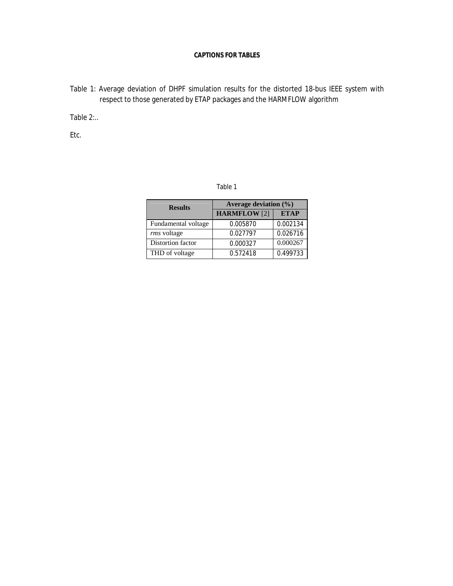# **CAPTIONS FOR TABLES**

Table 1: Average deviation of DHPF simulation results for the distorted 18-bus IEEE system with respect to those generated by ETAP packages and the HARMFLOW algorithm

Table 2:..

Etc.

| able |  |
|------|--|
|------|--|

| <b>Results</b>      | Average deviation $(\%)$ |             |
|---------------------|--------------------------|-------------|
|                     | <b>HARMFLOW</b> [2]      | <b>ETAP</b> |
| Fundamental voltage | 0.005870                 | 0.002134    |
| rms voltage         | 0.027797                 | 0.026716    |
| Distortion factor   | 0.000327                 | 0.000267    |
| THD of voltage      | 0.572418                 | 0.499733    |